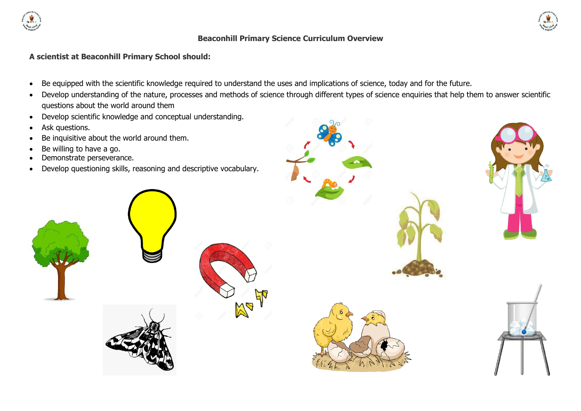

#### **Beaconhill Primary Science Curriculum Overview**

#### **A scientist at Beaconhill Primary School should:**

- Be equipped with the scientific knowledge required to understand the uses and implications of science, today and for the future.
- Develop understanding of the nature, processes and methods of science through different types of science enquiries that help them to answer scientific questions about the world around them
- Develop scientific knowledge and conceptual understanding.
- Ask questions.
- Be inquisitive about the world around them.
- Be willing to have a go.
- Demonstrate perseverance.
- Develop questioning skills, reasoning and descriptive vocabulary.



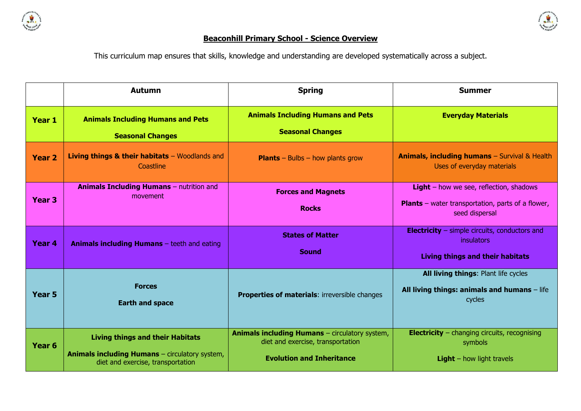



# **Beaconhill Primary School - Science Overview**

This curriculum map ensures that skills, knowledge and understanding are developed systematically across a subject.

|                   | <b>Autumn</b>                                                                                                                         | <b>Spring</b>                                                                                                                  | <b>Summer</b>                                                                                                                |
|-------------------|---------------------------------------------------------------------------------------------------------------------------------------|--------------------------------------------------------------------------------------------------------------------------------|------------------------------------------------------------------------------------------------------------------------------|
| Year 1            | <b>Animals Including Humans and Pets</b><br><b>Seasonal Changes</b>                                                                   | <b>Animals Including Humans and Pets</b><br><b>Seasonal Changes</b>                                                            | <b>Everyday Materials</b>                                                                                                    |
| Year <sub>2</sub> | Living things & their habitats $-$ Woodlands and<br>Coastline                                                                         | <b>Plants</b> – Bulbs – how plants grow                                                                                        | Animals, including humans - Survival & Health<br>Uses of everyday materials                                                  |
| Year <sub>3</sub> | <b>Animals Including Humans - nutrition and</b><br>movement                                                                           | <b>Forces and Magnets</b><br><b>Rocks</b>                                                                                      | <b>Light</b> – how we see, reflection, shadows<br><b>Plants</b> – water transportation, parts of a flower,<br>seed dispersal |
| Year 4            | <b>Animals including Humans</b> – teeth and eating                                                                                    | <b>States of Matter</b><br><b>Sound</b>                                                                                        | <b>Electricity</b> – simple circuits, conductors and<br>insulators<br><b>Living things and their habitats</b>                |
| Year <sub>5</sub> | <b>Forces</b><br><b>Earth and space</b>                                                                                               | <b>Properties of materials: irreversible changes</b>                                                                           | All living things: Plant life cycles<br>All living things: animals and humans $-$ life<br>cycles                             |
| Year <sub>6</sub> | <b>Living things and their Habitats</b><br><b>Animals including Humans</b> - circulatory system,<br>diet and exercise, transportation | <b>Animals including Humans</b> - circulatory system,<br>diet and exercise, transportation<br><b>Evolution and Inheritance</b> | <b>Electricity</b> – changing circuits, recognising<br>symbols<br><b>Light</b> $-$ how light travels                         |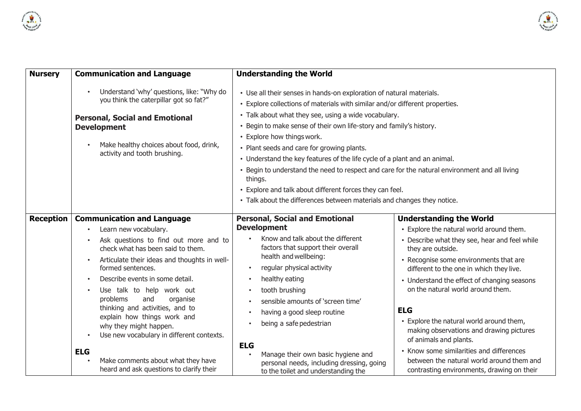



| <b>Nursery</b>   | <b>Communication and Language</b>                                                                                                                                                                                                                                                                                                                                                                                                                                                                                                                     | <b>Understanding the World</b><br>• Use all their senses in hands-on exploration of natural materials.<br>• Explore collections of materials with similar and/or different properties.<br>• Talk about what they see, using a wide vocabulary.<br>• Begin to make sense of their own life-story and family's history.<br>• Explore how things work.<br>• Plant seeds and care for growing plants.<br>• Understand the key features of the life cycle of a plant and an animal.<br>• Begin to understand the need to respect and care for the natural environment and all living<br>things.<br>• Explore and talk about different forces they can feel.<br>• Talk about the differences between materials and changes they notice. |                                                                                                                                                                                                                                                                                                                                                                                                                                                                                                                                                                                                   |
|------------------|-------------------------------------------------------------------------------------------------------------------------------------------------------------------------------------------------------------------------------------------------------------------------------------------------------------------------------------------------------------------------------------------------------------------------------------------------------------------------------------------------------------------------------------------------------|-----------------------------------------------------------------------------------------------------------------------------------------------------------------------------------------------------------------------------------------------------------------------------------------------------------------------------------------------------------------------------------------------------------------------------------------------------------------------------------------------------------------------------------------------------------------------------------------------------------------------------------------------------------------------------------------------------------------------------------|---------------------------------------------------------------------------------------------------------------------------------------------------------------------------------------------------------------------------------------------------------------------------------------------------------------------------------------------------------------------------------------------------------------------------------------------------------------------------------------------------------------------------------------------------------------------------------------------------|
|                  | Understand 'why' questions, like: "Why do<br>you think the caterpillar got so fat?"<br><b>Personal, Social and Emotional</b><br><b>Development</b><br>Make healthy choices about food, drink,<br>activity and tooth brushing.                                                                                                                                                                                                                                                                                                                         |                                                                                                                                                                                                                                                                                                                                                                                                                                                                                                                                                                                                                                                                                                                                   |                                                                                                                                                                                                                                                                                                                                                                                                                                                                                                                                                                                                   |
| <b>Reception</b> | <b>Communication and Language</b><br>Learn new vocabulary.<br>Ask questions to find out more and to<br>check what has been said to them.<br>Articulate their ideas and thoughts in well-<br>formed sentences.<br>Describe events in some detail.<br>Use talk to help work out<br>and<br>problems<br>organise<br>thinking and activities, and to<br>explain how things work and<br>why they might happen.<br>Use new vocabulary in different contexts.<br><b>ELG</b><br>Make comments about what they have<br>heard and ask questions to clarify their | <b>Personal, Social and Emotional</b><br><b>Development</b><br>Know and talk about the different<br>factors that support their overall<br>health and wellbeing:<br>regular physical activity<br>healthy eating<br>tooth brushing<br>sensible amounts of 'screen time'<br>having a good sleep routine<br>being a safe pedestrian<br><b>ELG</b><br>Manage their own basic hygiene and<br>personal needs, including dressing, going<br>to the toilet and understanding the                                                                                                                                                                                                                                                           | <b>Understanding the World</b><br>• Explore the natural world around them.<br>• Describe what they see, hear and feel while<br>they are outside.<br>• Recognise some environments that are<br>different to the one in which they live.<br>• Understand the effect of changing seasons<br>on the natural world around them.<br><b>ELG</b><br>• Explore the natural world around them,<br>making observations and drawing pictures<br>of animals and plants.<br>• Know some similarities and differences<br>between the natural world around them and<br>contrasting environments, drawing on their |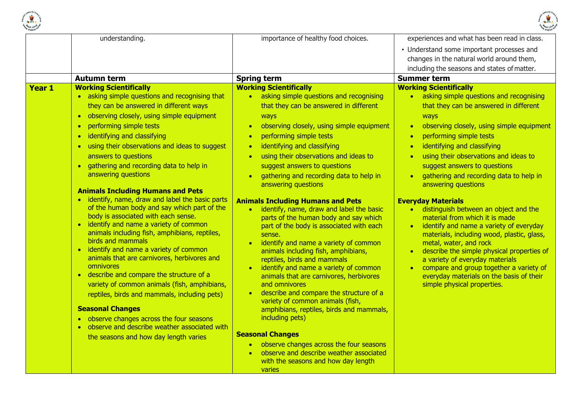



| understanding.                                                                                                                                                                                                                                                                                                                                                                                                                                                                                                                                                                                                                                                                                                                                                                                                                                                                                                                                                                                                                                                                                                                                                                          | importance of healthy food choices.                                                                                                                                                                                                                                                                                                                                                                                                                                                                                                                                                                                                                                                                                                                                                                                                                                                                                                                                                                                                                                                                                                                                                                                                                                | experiences and what has been read in class.                                                                                                                                                                                                                                                                                                                                                                                                                                                                                                                                                                                                                                                                                                                                                                                                                                                              |
|-----------------------------------------------------------------------------------------------------------------------------------------------------------------------------------------------------------------------------------------------------------------------------------------------------------------------------------------------------------------------------------------------------------------------------------------------------------------------------------------------------------------------------------------------------------------------------------------------------------------------------------------------------------------------------------------------------------------------------------------------------------------------------------------------------------------------------------------------------------------------------------------------------------------------------------------------------------------------------------------------------------------------------------------------------------------------------------------------------------------------------------------------------------------------------------------|--------------------------------------------------------------------------------------------------------------------------------------------------------------------------------------------------------------------------------------------------------------------------------------------------------------------------------------------------------------------------------------------------------------------------------------------------------------------------------------------------------------------------------------------------------------------------------------------------------------------------------------------------------------------------------------------------------------------------------------------------------------------------------------------------------------------------------------------------------------------------------------------------------------------------------------------------------------------------------------------------------------------------------------------------------------------------------------------------------------------------------------------------------------------------------------------------------------------------------------------------------------------|-----------------------------------------------------------------------------------------------------------------------------------------------------------------------------------------------------------------------------------------------------------------------------------------------------------------------------------------------------------------------------------------------------------------------------------------------------------------------------------------------------------------------------------------------------------------------------------------------------------------------------------------------------------------------------------------------------------------------------------------------------------------------------------------------------------------------------------------------------------------------------------------------------------|
|                                                                                                                                                                                                                                                                                                                                                                                                                                                                                                                                                                                                                                                                                                                                                                                                                                                                                                                                                                                                                                                                                                                                                                                         |                                                                                                                                                                                                                                                                                                                                                                                                                                                                                                                                                                                                                                                                                                                                                                                                                                                                                                                                                                                                                                                                                                                                                                                                                                                                    | • Understand some important processes and<br>changes in the natural world around them,<br>including the seasons and states of matter.                                                                                                                                                                                                                                                                                                                                                                                                                                                                                                                                                                                                                                                                                                                                                                     |
| <b>Autumn term</b>                                                                                                                                                                                                                                                                                                                                                                                                                                                                                                                                                                                                                                                                                                                                                                                                                                                                                                                                                                                                                                                                                                                                                                      |                                                                                                                                                                                                                                                                                                                                                                                                                                                                                                                                                                                                                                                                                                                                                                                                                                                                                                                                                                                                                                                                                                                                                                                                                                                                    | <b>Summer term</b>                                                                                                                                                                                                                                                                                                                                                                                                                                                                                                                                                                                                                                                                                                                                                                                                                                                                                        |
| <b>Working Scientifically</b><br><b>Year 1</b><br>• asking simple questions and recognising that<br>they can be answered in different ways<br>observing closely, using simple equipment<br>$\bullet$<br>performing simple tests<br>$\bullet$<br>identifying and classifying<br>$\bullet$<br>using their observations and ideas to suggest<br>answers to questions<br>gathering and recording data to help in<br>answering questions<br><b>Animals Including Humans and Pets</b><br>• identify, name, draw and label the basic parts<br>of the human body and say which part of the<br>body is associated with each sense.<br>• identify and name a variety of common<br>animals including fish, amphibians, reptiles,<br>birds and mammals<br>identify and name a variety of common<br>$\bullet$<br>animals that are carnivores, herbivores and<br>omnivores<br>• describe and compare the structure of a<br>variety of common animals (fish, amphibians,<br>reptiles, birds and mammals, including pets)<br><b>Seasonal Changes</b><br>• observe changes across the four seasons<br>observe and describe weather associated with<br>$\bullet$<br>the seasons and how day length varies | <b>Spring term</b><br><b>Working Scientifically</b><br>asking simple questions and recognising<br>$\bullet$<br>that they can be answered in different<br>ways<br>observing closely, using simple equipment<br>$\bullet$<br>performing simple tests<br>$\bullet$<br>identifying and classifying<br>$\bullet$<br>using their observations and ideas to<br>$\bullet$<br>suggest answers to questions<br>gathering and recording data to help in<br>$\bullet$<br>answering questions<br><b>Animals Including Humans and Pets</b><br>identify, name, draw and label the basic<br>$\bullet$<br>parts of the human body and say which<br>part of the body is associated with each<br>sense.<br>identify and name a variety of common<br>$\bullet$<br>animals including fish, amphibians,<br>reptiles, birds and mammals<br>identify and name a variety of common<br>$\bullet$<br>animals that are carnivores, herbivores<br>and omnivores<br>describe and compare the structure of a<br>$\bullet$<br>variety of common animals (fish,<br>amphibians, reptiles, birds and mammals,<br>including pets)<br><b>Seasonal Changes</b><br>observe changes across the four seasons<br>$\bullet$<br>observe and describe weather associated<br>with the seasons and how day length | <b>Working Scientifically</b><br>asking simple questions and recognising<br>$\bullet$<br>that they can be answered in different<br>ways<br>observing closely, using simple equipment<br>$\bullet$<br>performing simple tests<br>$\bullet$<br>identifying and classifying<br>using their observations and ideas to<br>suggest answers to questions<br>gathering and recording data to help in<br>$\bullet$<br>answering questions<br><b>Everyday Materials</b><br>distinguish between an object and the<br>$\bullet$<br>material from which it is made<br>identify and name a variety of everyday<br>materials, including wood, plastic, glass,<br>metal, water, and rock<br>describe the simple physical properties of<br>$\bullet$<br>a variety of everyday materials<br>compare and group together a variety of<br>$\bullet$<br>everyday materials on the basis of their<br>simple physical properties. |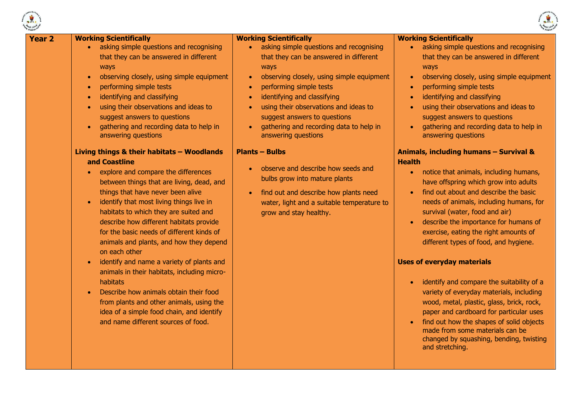



| <b>Year 2</b>          | <b>Working Scientifically</b>                                                                                                                                                                                                                                                                                                                                                                                                                                                                                                                                                                                                                                                                                                                                                                                                                                                                                                                                                                                                                                  | <b>Working Scientifically</b>                                                                                                                                                                                                                                                                                                                                                                                                                                                                                                                                                                                                                                        | <b>Working Scientifically</b>                                                                                                                                                                                                                                                                                                                                                                                                                                                                                                                                                                                                                                                                                                                                                                                                                                                                                                                                                                                                                                                                                                           |
|------------------------|----------------------------------------------------------------------------------------------------------------------------------------------------------------------------------------------------------------------------------------------------------------------------------------------------------------------------------------------------------------------------------------------------------------------------------------------------------------------------------------------------------------------------------------------------------------------------------------------------------------------------------------------------------------------------------------------------------------------------------------------------------------------------------------------------------------------------------------------------------------------------------------------------------------------------------------------------------------------------------------------------------------------------------------------------------------|----------------------------------------------------------------------------------------------------------------------------------------------------------------------------------------------------------------------------------------------------------------------------------------------------------------------------------------------------------------------------------------------------------------------------------------------------------------------------------------------------------------------------------------------------------------------------------------------------------------------------------------------------------------------|-----------------------------------------------------------------------------------------------------------------------------------------------------------------------------------------------------------------------------------------------------------------------------------------------------------------------------------------------------------------------------------------------------------------------------------------------------------------------------------------------------------------------------------------------------------------------------------------------------------------------------------------------------------------------------------------------------------------------------------------------------------------------------------------------------------------------------------------------------------------------------------------------------------------------------------------------------------------------------------------------------------------------------------------------------------------------------------------------------------------------------------------|
| $\bullet$<br>$\bullet$ | asking simple questions and recognising<br>that they can be answered in different<br>ways<br>observing closely, using simple equipment<br>performing simple tests<br>identifying and classifying<br>using their observations and ideas to<br>suggest answers to questions<br>gathering and recording data to help in<br>answering questions<br>Living things & their habitats - Woodlands<br>and Coastline<br>explore and compare the differences<br>between things that are living, dead, and<br>things that have never been alive<br>identify that most living things live in<br>habitats to which they are suited and<br>describe how different habitats provide<br>for the basic needs of different kinds of<br>animals and plants, and how they depend<br>on each other<br>identify and name a variety of plants and<br>animals in their habitats, including micro-<br>habitats<br>Describe how animals obtain their food<br>from plants and other animals, using the<br>idea of a simple food chain, and identify<br>and name different sources of food. | asking simple questions and recognising<br>$\bullet$<br>that they can be answered in different<br>ways<br>observing closely, using simple equipment<br>$\bullet$<br>performing simple tests<br>$\bullet$<br>identifying and classifying<br>$\bullet$<br>using their observations and ideas to<br>$\bullet$<br>suggest answers to questions<br>gathering and recording data to help in<br>$\bullet$<br>answering questions<br><b>Plants - Bulbs</b><br>observe and describe how seeds and<br>$\bullet$<br>bulbs grow into mature plants<br>find out and describe how plants need<br>$\bullet$<br>water, light and a suitable temperature to<br>grow and stay healthy. | asking simple questions and recognising<br>$\bullet$<br>that they can be answered in different<br>ways<br>observing closely, using simple equipment<br>performing simple tests<br>identifying and classifying<br>using their observations and ideas to<br>suggest answers to questions<br>gathering and recording data to help in<br>answering questions<br>Animals, including humans - Survival &<br><b>Health</b><br>notice that animals, including humans,<br>$\bullet$<br>have offspring which grow into adults<br>find out about and describe the basic<br>needs of animals, including humans, for<br>survival (water, food and air)<br>describe the importance for humans of<br>exercise, eating the right amounts of<br>different types of food, and hygiene.<br><b>Uses of everyday materials</b><br>identify and compare the suitability of a<br>variety of everyday materials, including<br>wood, metal, plastic, glass, brick, rock,<br>paper and cardboard for particular uses<br>find out how the shapes of solid objects<br>made from some materials can be<br>changed by squashing, bending, twisting<br>and stretching. |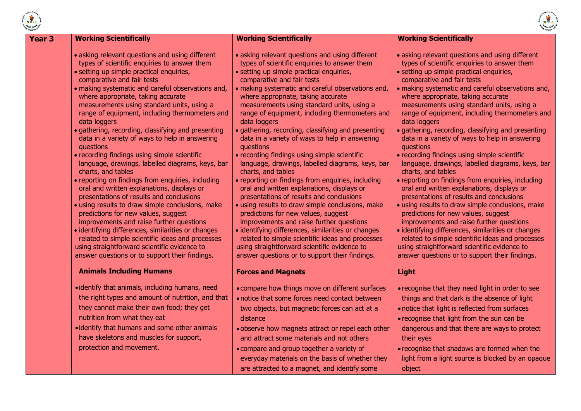

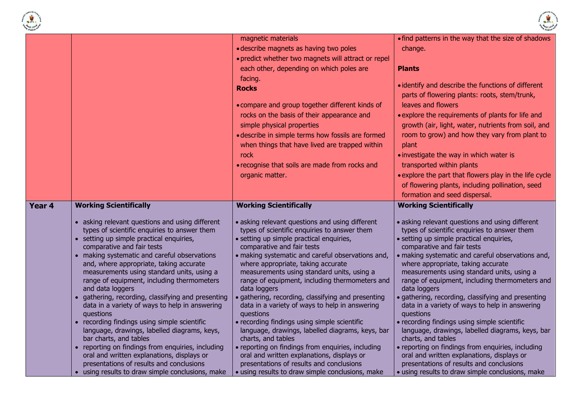



|        |                                                                                              | magnetic materials                                                                           | . find patterns in the way that the size of shadows                                          |
|--------|----------------------------------------------------------------------------------------------|----------------------------------------------------------------------------------------------|----------------------------------------------------------------------------------------------|
|        |                                                                                              | · describe magnets as having two poles                                                       | change.                                                                                      |
|        |                                                                                              | • predict whether two magnets will attract or repel                                          |                                                                                              |
|        |                                                                                              | each other, depending on which poles are                                                     | <b>Plants</b>                                                                                |
|        |                                                                                              |                                                                                              |                                                                                              |
|        |                                                                                              | facing.                                                                                      | • identify and describe the functions of different                                           |
|        |                                                                                              | <b>Rocks</b>                                                                                 | parts of flowering plants: roots, stem/trunk,                                                |
|        |                                                                                              |                                                                                              | leaves and flowers                                                                           |
|        |                                                                                              | • compare and group together different kinds of                                              |                                                                                              |
|        |                                                                                              | rocks on the basis of their appearance and                                                   | • explore the requirements of plants for life and                                            |
|        |                                                                                              | simple physical properties                                                                   | growth (air, light, water, nutrients from soil, and                                          |
|        |                                                                                              | · describe in simple terms how fossils are formed                                            | room to grow) and how they vary from plant to                                                |
|        |                                                                                              | when things that have lived are trapped within                                               | plant                                                                                        |
|        |                                                                                              | rock                                                                                         | • investigate the way in which water is                                                      |
|        |                                                                                              | • recognise that soils are made from rocks and                                               | transported within plants                                                                    |
|        |                                                                                              | organic matter.                                                                              | . explore the part that flowers play in the life cycle                                       |
|        |                                                                                              |                                                                                              | of flowering plants, including pollination, seed                                             |
|        |                                                                                              |                                                                                              | formation and seed dispersal.                                                                |
| Year 4 | <b>Working Scientifically</b>                                                                | <b>Working Scientifically</b>                                                                | <b>Working Scientifically</b>                                                                |
|        |                                                                                              |                                                                                              |                                                                                              |
|        |                                                                                              |                                                                                              |                                                                                              |
|        | • asking relevant questions and using different                                              | • asking relevant questions and using different                                              | • asking relevant questions and using different                                              |
|        | types of scientific enquiries to answer them                                                 | types of scientific enquiries to answer them                                                 | types of scientific enquiries to answer them                                                 |
|        | • setting up simple practical enquiries,                                                     | · setting up simple practical enquiries,                                                     | · setting up simple practical enquiries,                                                     |
|        | comparative and fair tests                                                                   | comparative and fair tests                                                                   | comparative and fair tests                                                                   |
|        | • making systematic and careful observations                                                 | · making systematic and careful observations and,                                            | · making systematic and careful observations and,                                            |
|        | and, where appropriate, taking accurate                                                      | where appropriate, taking accurate                                                           | where appropriate, taking accurate                                                           |
|        | measurements using standard units, using a                                                   | measurements using standard units, using a                                                   | measurements using standard units, using a                                                   |
|        | range of equipment, including thermometers                                                   | range of equipment, including thermometers and                                               | range of equipment, including thermometers and                                               |
|        | and data loggers                                                                             | data loggers                                                                                 | data loggers                                                                                 |
|        | • gathering, recording, classifying and presenting                                           | · gathering, recording, classifying and presenting                                           | · gathering, recording, classifying and presenting                                           |
|        | data in a variety of ways to help in answering<br>questions                                  | data in a variety of ways to help in answering<br>questions                                  | data in a variety of ways to help in answering<br>questions                                  |
|        | • recording findings using simple scientific                                                 | • recording findings using simple scientific                                                 | • recording findings using simple scientific                                                 |
|        | language, drawings, labelled diagrams, keys,                                                 | language, drawings, labelled diagrams, keys, bar                                             | language, drawings, labelled diagrams, keys, bar                                             |
|        | bar charts, and tables                                                                       | charts, and tables                                                                           | charts, and tables                                                                           |
|        | • reporting on findings from enquiries, including                                            | • reporting on findings from enquiries, including                                            | · reporting on findings from enquiries, including                                            |
|        | oral and written explanations, displays or                                                   | oral and written explanations, displays or                                                   | oral and written explanations, displays or                                                   |
|        | presentations of results and conclusions<br>• using results to draw simple conclusions, make | presentations of results and conclusions<br>· using results to draw simple conclusions, make | presentations of results and conclusions<br>· using results to draw simple conclusions, make |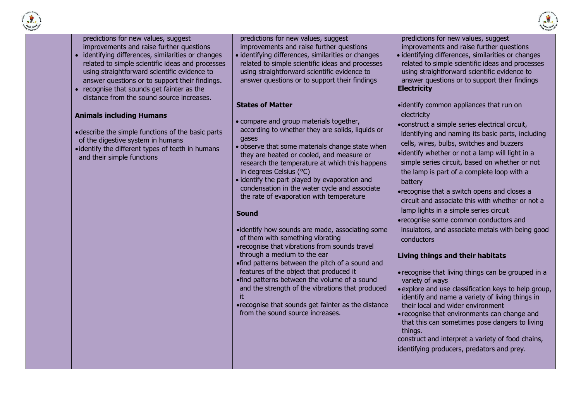



predictions for new values, suggest improvements and raise further questions

- identifying differences, similarities or changes related to simple scientific ideas and processes using straightforward scientific evidence to answer questions or to support their findings.
- recognise that sounds get fainter as the distance from the sound source increases.

### **Animals including Humans**

- describe the simple functions of the basic parts of the digestive system in humans
- identify the different types of teeth in humans and their simple functions

predictions for new values, suggest improvements and raise further questions

 identifying differences, similarities or changes related to simple scientific ideas and processes using straightforward scientific evidence to answer questions or to support their findings

### **States of Matter**

- compare and group materials together, according to whether they are solids, liquids or gases
- observe that some materials change state when they are heated or cooled, and measure or research the temperature at which this happens in degrees Celsius (°C)
- identify the part played by evaporation and condensation in the water cycle and associate the rate of evaporation with temperature

# **Sound**

- identify how sounds are made, associating some of them with something vibrating
- recognise that vibrations from sounds travel through a medium to the ear
- find patterns between the pitch of a sound and features of the object that produced it
- find patterns between the volume of a sound and the strength of the vibrations that produced it
- recognise that sounds get fainter as the distance from the sound source increases.

predictions for new values, suggest improvements and raise further questions

- **I** identifying differences, similarities or changes related to simple scientific ideas and processes using straightforward scientific evidence to answer questions or to support their findings **Electricity**
- identify common appliances that run on electricity
- construct a simple series electrical circuit, identifying and naming its basic parts, including cells, wires, bulbs, switches and buzzers identify whether or not a lamp will light in a simple series circuit, based on whether or not the lamp is part of a complete loop with a battery
- recognise that a switch opens and closes a circuit and associate this with whether or not a lamp lights in a simple series circuit
- recognise some common conductors and insulators, and associate metals with being good conductors

# **Living things and their habitats**

- recognise that living things can be grouped in a variety of ways
- explore and use classification keys to help group, identify and name a variety of living things in their local and wider environment
- recognise that environments can change and that this can sometimes pose dangers to living things.
- construct and interpret a variety of food chains, identifying producers, predators and prey.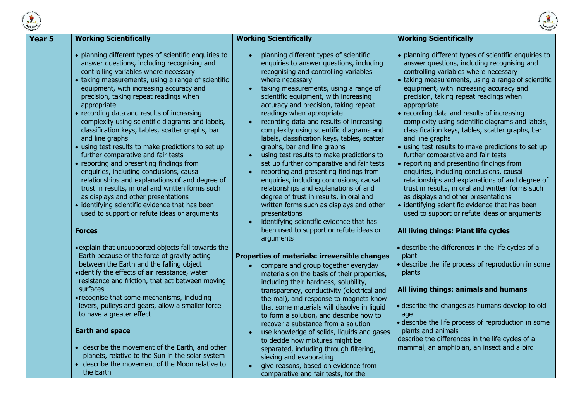

| 5 | <b>Working Scientifically</b>                                                                                                                                                                                                                                                                                                                                                                                                                                                                                                                                                                                                                                                                                                                                                                                                                                                                                         | <b>Working Scientifically</b>                                                                                                                                                                                                                                                                                                                                                                                                                                                                                                                                                                                                                                                                                                                                                                                                                                                        | <b>Working Scientifically</b>                                                                                                                                                                                                                                                                                                                                                                                                                                                                                                                                                                                                                                                                                                                                                                                                                                                                                         |
|---|-----------------------------------------------------------------------------------------------------------------------------------------------------------------------------------------------------------------------------------------------------------------------------------------------------------------------------------------------------------------------------------------------------------------------------------------------------------------------------------------------------------------------------------------------------------------------------------------------------------------------------------------------------------------------------------------------------------------------------------------------------------------------------------------------------------------------------------------------------------------------------------------------------------------------|--------------------------------------------------------------------------------------------------------------------------------------------------------------------------------------------------------------------------------------------------------------------------------------------------------------------------------------------------------------------------------------------------------------------------------------------------------------------------------------------------------------------------------------------------------------------------------------------------------------------------------------------------------------------------------------------------------------------------------------------------------------------------------------------------------------------------------------------------------------------------------------|-----------------------------------------------------------------------------------------------------------------------------------------------------------------------------------------------------------------------------------------------------------------------------------------------------------------------------------------------------------------------------------------------------------------------------------------------------------------------------------------------------------------------------------------------------------------------------------------------------------------------------------------------------------------------------------------------------------------------------------------------------------------------------------------------------------------------------------------------------------------------------------------------------------------------|
|   | • planning different types of scientific enquiries to<br>answer questions, including recognising and<br>controlling variables where necessary<br>• taking measurements, using a range of scientific<br>equipment, with increasing accuracy and<br>precision, taking repeat readings when<br>appropriate<br>• recording data and results of increasing<br>complexity using scientific diagrams and labels,<br>classification keys, tables, scatter graphs, bar<br>and line graphs<br>• using test results to make predictions to set up<br>further comparative and fair tests<br>• reporting and presenting findings from<br>enquiries, including conclusions, causal<br>relationships and explanations of and degree of<br>trust in results, in oral and written forms such<br>as displays and other presentations<br>• identifying scientific evidence that has been<br>used to support or refute ideas or arguments | planning different types of scientific<br>enquiries to answer questions, including<br>recognising and controlling variables<br>where necessary<br>taking measurements, using a range of<br>scientific equipment, with increasing<br>accuracy and precision, taking repeat<br>readings when appropriate<br>recording data and results of increasing<br>complexity using scientific diagrams and<br>labels, classification keys, tables, scatter<br>graphs, bar and line graphs<br>using test results to make predictions to<br>set up further comparative and fair tests<br>reporting and presenting findings from<br>$\bullet$<br>enquiries, including conclusions, causal<br>relationships and explanations of and<br>degree of trust in results, in oral and<br>written forms such as displays and other<br>presentations<br>identifying scientific evidence that has<br>$\bullet$ | • planning different types of scientific enquiries to<br>answer questions, including recognising and<br>controlling variables where necessary<br>• taking measurements, using a range of scientific<br>equipment, with increasing accuracy and<br>precision, taking repeat readings when<br>appropriate<br>• recording data and results of increasing<br>complexity using scientific diagrams and labels,<br>classification keys, tables, scatter graphs, bar<br>and line graphs<br>• using test results to make predictions to set up<br>further comparative and fair tests<br>• reporting and presenting findings from<br>enquiries, including conclusions, causal<br>relationships and explanations of and degree of<br>trust in results, in oral and written forms such<br>as displays and other presentations<br>• identifying scientific evidence that has been<br>used to support or refute ideas or arguments |
|   | <b>Forces</b>                                                                                                                                                                                                                                                                                                                                                                                                                                                                                                                                                                                                                                                                                                                                                                                                                                                                                                         | been used to support or refute ideas or<br>arguments                                                                                                                                                                                                                                                                                                                                                                                                                                                                                                                                                                                                                                                                                                                                                                                                                                 | All living things: Plant life cycles                                                                                                                                                                                                                                                                                                                                                                                                                                                                                                                                                                                                                                                                                                                                                                                                                                                                                  |
|   | . explain that unsupported objects fall towards the<br>Earth because of the force of gravity acting<br>between the Earth and the falling object<br>· identify the effects of air resistance, water<br>resistance and friction, that act between moving<br>surfaces<br>• recognise that some mechanisms, including<br>levers, pulleys and gears, allow a smaller force<br>to have a greater effect                                                                                                                                                                                                                                                                                                                                                                                                                                                                                                                     | Properties of materials: irreversible changes<br>compare and group together everyday<br>materials on the basis of their properties,<br>including their hardness, solubility,<br>transparency, conductivity (electrical and<br>thermal), and response to magnets know<br>that some materials will dissolve in liquid<br>to form a solution, and describe how to<br>recover a substance from a solution                                                                                                                                                                                                                                                                                                                                                                                                                                                                                | • describe the differences in the life cycles of a<br>plant<br>• describe the life process of reproduction in some<br>plants<br>All living things: animals and humans<br>• describe the changes as humans develop to old<br>age<br>• describe the life process of reproduction in some                                                                                                                                                                                                                                                                                                                                                                                                                                                                                                                                                                                                                                |
|   | <b>Earth and space</b><br>• describe the movement of the Earth, and other<br>planets, relative to the Sun in the solar system<br>• describe the movement of the Moon relative to<br>the Earth                                                                                                                                                                                                                                                                                                                                                                                                                                                                                                                                                                                                                                                                                                                         | use knowledge of solids, liquids and gases<br>to decide how mixtures might be<br>separated, including through filtering,<br>sieving and evaporating<br>give reasons, based on evidence from<br>comparative and fair tests, for the                                                                                                                                                                                                                                                                                                                                                                                                                                                                                                                                                                                                                                                   | plants and animals<br>describe the differences in the life cycles of a<br>mammal, an amphibian, an insect and a bird                                                                                                                                                                                                                                                                                                                                                                                                                                                                                                                                                                                                                                                                                                                                                                                                  |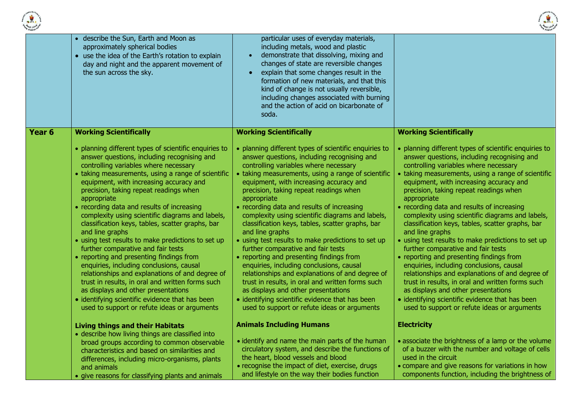



|        | • describe the Sun, Earth and Moon as<br>approximately spherical bodies<br>• use the idea of the Earth's rotation to explain<br>day and night and the apparent movement of<br>the sun across the sky.                                                                                                                                                                                                                                                                                                                                                                                                                                                                                                                                                                                                                                                                                                                 | particular uses of everyday materials,<br>including metals, wood and plastic<br>demonstrate that dissolving, mixing and<br>changes of state are reversible changes<br>explain that some changes result in the<br>formation of new materials, and that this<br>kind of change is not usually reversible,<br>including changes associated with burning<br>and the action of acid on bicarbonate of<br>soda.                                                                                                                                                                                                                                                                                                                                                                                                                                                                                                             |                                                                                                                                                                                                                                                                                                                                                                                                                                                                                                                                                                                                                                                                                                                                                                                                                                                                                                                       |
|--------|-----------------------------------------------------------------------------------------------------------------------------------------------------------------------------------------------------------------------------------------------------------------------------------------------------------------------------------------------------------------------------------------------------------------------------------------------------------------------------------------------------------------------------------------------------------------------------------------------------------------------------------------------------------------------------------------------------------------------------------------------------------------------------------------------------------------------------------------------------------------------------------------------------------------------|-----------------------------------------------------------------------------------------------------------------------------------------------------------------------------------------------------------------------------------------------------------------------------------------------------------------------------------------------------------------------------------------------------------------------------------------------------------------------------------------------------------------------------------------------------------------------------------------------------------------------------------------------------------------------------------------------------------------------------------------------------------------------------------------------------------------------------------------------------------------------------------------------------------------------|-----------------------------------------------------------------------------------------------------------------------------------------------------------------------------------------------------------------------------------------------------------------------------------------------------------------------------------------------------------------------------------------------------------------------------------------------------------------------------------------------------------------------------------------------------------------------------------------------------------------------------------------------------------------------------------------------------------------------------------------------------------------------------------------------------------------------------------------------------------------------------------------------------------------------|
| Year 6 | <b>Working Scientifically</b>                                                                                                                                                                                                                                                                                                                                                                                                                                                                                                                                                                                                                                                                                                                                                                                                                                                                                         | <b>Working Scientifically</b>                                                                                                                                                                                                                                                                                                                                                                                                                                                                                                                                                                                                                                                                                                                                                                                                                                                                                         | <b>Working Scientifically</b>                                                                                                                                                                                                                                                                                                                                                                                                                                                                                                                                                                                                                                                                                                                                                                                                                                                                                         |
|        | • planning different types of scientific enquiries to<br>answer questions, including recognising and<br>controlling variables where necessary<br>• taking measurements, using a range of scientific<br>equipment, with increasing accuracy and<br>precision, taking repeat readings when<br>appropriate<br>• recording data and results of increasing<br>complexity using scientific diagrams and labels,<br>classification keys, tables, scatter graphs, bar<br>and line graphs<br>• using test results to make predictions to set up<br>further comparative and fair tests<br>• reporting and presenting findings from<br>enquiries, including conclusions, causal<br>relationships and explanations of and degree of<br>trust in results, in oral and written forms such<br>as displays and other presentations<br>• identifying scientific evidence that has been<br>used to support or refute ideas or arguments | • planning different types of scientific enquiries to<br>answer questions, including recognising and<br>controlling variables where necessary<br>• taking measurements, using a range of scientific<br>equipment, with increasing accuracy and<br>precision, taking repeat readings when<br>appropriate<br>• recording data and results of increasing<br>complexity using scientific diagrams and labels,<br>classification keys, tables, scatter graphs, bar<br>and line graphs<br>• using test results to make predictions to set up<br>further comparative and fair tests<br>• reporting and presenting findings from<br>enquiries, including conclusions, causal<br>relationships and explanations of and degree of<br>trust in results, in oral and written forms such<br>as displays and other presentations<br>• identifying scientific evidence that has been<br>used to support or refute ideas or arguments | • planning different types of scientific enquiries to<br>answer questions, including recognising and<br>controlling variables where necessary<br>• taking measurements, using a range of scientific<br>equipment, with increasing accuracy and<br>precision, taking repeat readings when<br>appropriate<br>• recording data and results of increasing<br>complexity using scientific diagrams and labels,<br>classification keys, tables, scatter graphs, bar<br>and line graphs<br>• using test results to make predictions to set up<br>further comparative and fair tests<br>• reporting and presenting findings from<br>enquiries, including conclusions, causal<br>relationships and explanations of and degree of<br>trust in results, in oral and written forms such<br>as displays and other presentations<br>• identifying scientific evidence that has been<br>used to support or refute ideas or arguments |
|        | <b>Living things and their Habitats</b>                                                                                                                                                                                                                                                                                                                                                                                                                                                                                                                                                                                                                                                                                                                                                                                                                                                                               | <b>Animals Including Humans</b>                                                                                                                                                                                                                                                                                                                                                                                                                                                                                                                                                                                                                                                                                                                                                                                                                                                                                       | <b>Electricity</b>                                                                                                                                                                                                                                                                                                                                                                                                                                                                                                                                                                                                                                                                                                                                                                                                                                                                                                    |
|        | • describe how living things are classified into<br>broad groups according to common observable<br>characteristics and based on similarities and<br>differences, including micro-organisms, plants<br>and animals<br>• give reasons for classifying plants and animals                                                                                                                                                                                                                                                                                                                                                                                                                                                                                                                                                                                                                                                | • identify and name the main parts of the human<br>circulatory system, and describe the functions of<br>the heart, blood vessels and blood<br>• recognise the impact of diet, exercise, drugs<br>and lifestyle on the way their bodies function                                                                                                                                                                                                                                                                                                                                                                                                                                                                                                                                                                                                                                                                       | • associate the brightness of a lamp or the volume<br>of a buzzer with the number and voltage of cells<br>used in the circuit<br>• compare and give reasons for variations in how<br>components function, including the brightness of                                                                                                                                                                                                                                                                                                                                                                                                                                                                                                                                                                                                                                                                                 |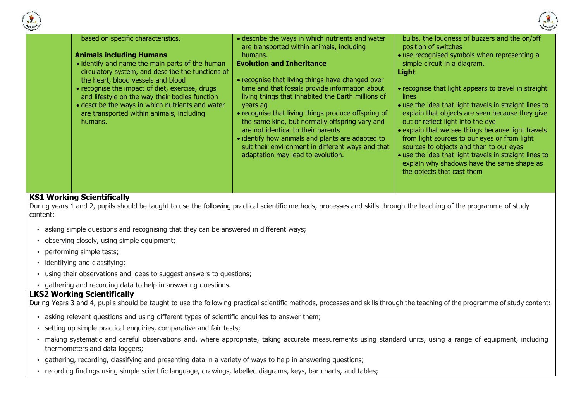



| based on specific characteristics.<br><b>Animals including Humans</b><br>• identify and name the main parts of the human<br>circulatory system, and describe the functions of<br>the heart, blood vessels and blood<br>• recognise the impact of diet, exercise, drugs<br>and lifestyle on the way their bodies function<br>• describe the ways in which nutrients and water<br>are transported within animals, including<br>humans. | • describe the ways in which nutrients and water<br>are transported within animals, including<br>humans.<br><b>Evolution and Inheritance</b><br>• recognise that living things have changed over<br>time and that fossils provide information about<br>living things that inhabited the Earth millions of<br>years ag<br>• recognise that living things produce offspring of<br>the same kind, but normally offspring vary and<br>are not identical to their parents<br>• identify how animals and plants are adapted to<br>suit their environment in different ways and that<br>adaptation may lead to evolution. | bulbs, the loudness of buzzers and the on/off<br>position of switches<br>• use recognised symbols when representing a<br>simple circuit in a diagram.<br>Light<br>• recognise that light appears to travel in straight<br>lines<br>• use the idea that light travels in straight lines to<br>explain that objects are seen because they give<br>out or reflect light into the eye<br>• explain that we see things because light travels<br>from light sources to our eyes or from light<br>sources to objects and then to our eyes<br>• use the idea that light travels in straight lines to<br>explain why shadows have the same shape as<br>the objects that cast them |
|--------------------------------------------------------------------------------------------------------------------------------------------------------------------------------------------------------------------------------------------------------------------------------------------------------------------------------------------------------------------------------------------------------------------------------------|--------------------------------------------------------------------------------------------------------------------------------------------------------------------------------------------------------------------------------------------------------------------------------------------------------------------------------------------------------------------------------------------------------------------------------------------------------------------------------------------------------------------------------------------------------------------------------------------------------------------|--------------------------------------------------------------------------------------------------------------------------------------------------------------------------------------------------------------------------------------------------------------------------------------------------------------------------------------------------------------------------------------------------------------------------------------------------------------------------------------------------------------------------------------------------------------------------------------------------------------------------------------------------------------------------|

### **KS1 Working Scientifically**

During years 1 and 2, pupils should be taught to use the following practical scientific methods, processes and skills through the teaching of the programme of study content:

- asking simple questions and recognising that they can be answered in different ways;
- observing closely, using simple equipment;
- performing simple tests;
- identifying and classifying;
- using their observations and ideas to suggest answers to questions;
- gathering and recording data to help in answering questions.

### **LKS2 Working Scientifically**

During Years 3 and 4, pupils should be taught to use the following practical scientific methods, processes and skills through the teaching of the programme of study content:

- asking relevant questions and using different types of scientific enquiries to answer them;
- setting up simple practical enquiries, comparative and fair tests;
- making systematic and careful observations and, where appropriate, taking accurate measurements using standard units, using a range of equipment, including thermometers and data loggers;
- gathering, recording, classifying and presenting data in a variety of ways to help in answering questions;
- recording findings using simple scientific language, drawings, labelled diagrams, keys, bar charts, and tables;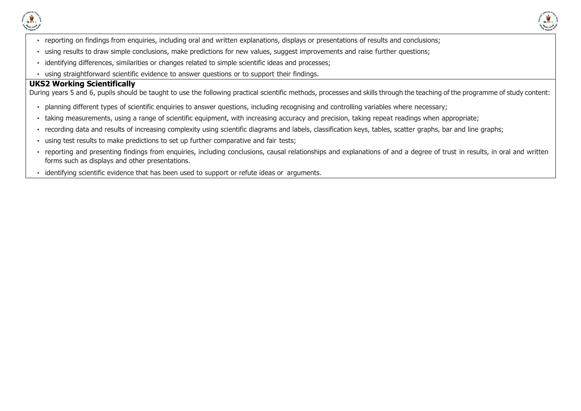



- reporting on findings from enquiries, including oral and written explanations, displays or presentations of results and conclusions;
- using results to draw simple conclusions, make predictions for new values, suggest improvements and raise further questions;
- identifying differences, similarities or changes related to simple scientific ideas and processes;
- using straightforward scientific evidence to answer questions or to support their findings.

#### **UKS2 Working Scientifically**

During years 5 and 6, pupils should be taught to use the following practical scientific methods, processes and skills through the teaching of the programme of study content:

- planning different types of scientific enquiries to answer questions, including recognising and controlling variables where necessary;
- taking measurements, using a range of scientific equipment, with increasing accuracy and precision, taking repeat readings when appropriate;
- recording data and results of increasing complexity using scientific diagrams and labels, classification keys, tables, scatter graphs, bar and line graphs;
- using test results to make predictions to set up further comparative and fair tests;
- reporting and presenting findings from enquiries, including conclusions, causal relationships and explanations of and a degree of trust in results, in oral and written forms such as displays and other presentations.
- identifying scientific evidence that has been used to support or refute ideas or arguments.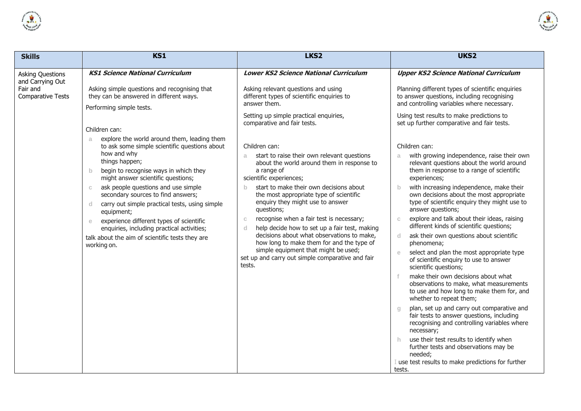



| <b>Skills</b>                                                                       | KS1                                                                                                                                                                                                                                                                                                                                                                                                                                                                                                                                                                                                                                                                                                                                                    | LKS <sub>2</sub>                                                                                                                                                                                                                                                                                                                                                                                                                                                                                                                                                                                                                                                                                                                                                                                                                                                   | UKS2                                                                                                                                                                                                                                                                                                                                                                                                                                                                                                                                                                                                                                                                                                                                                                                                                                                                                                                                                                                                                                                                                                                                                   |
|-------------------------------------------------------------------------------------|--------------------------------------------------------------------------------------------------------------------------------------------------------------------------------------------------------------------------------------------------------------------------------------------------------------------------------------------------------------------------------------------------------------------------------------------------------------------------------------------------------------------------------------------------------------------------------------------------------------------------------------------------------------------------------------------------------------------------------------------------------|--------------------------------------------------------------------------------------------------------------------------------------------------------------------------------------------------------------------------------------------------------------------------------------------------------------------------------------------------------------------------------------------------------------------------------------------------------------------------------------------------------------------------------------------------------------------------------------------------------------------------------------------------------------------------------------------------------------------------------------------------------------------------------------------------------------------------------------------------------------------|--------------------------------------------------------------------------------------------------------------------------------------------------------------------------------------------------------------------------------------------------------------------------------------------------------------------------------------------------------------------------------------------------------------------------------------------------------------------------------------------------------------------------------------------------------------------------------------------------------------------------------------------------------------------------------------------------------------------------------------------------------------------------------------------------------------------------------------------------------------------------------------------------------------------------------------------------------------------------------------------------------------------------------------------------------------------------------------------------------------------------------------------------------|
| <b>Asking Questions</b><br>and Carrying Out<br>Fair and<br><b>Comparative Tests</b> | <b>KS1 Science National Curriculum</b><br>Asking simple questions and recognising that<br>they can be answered in different ways.<br>Performing simple tests.<br>Children can:<br>explore the world around them, leading them<br>a.<br>to ask some simple scientific questions about<br>how and why<br>things happen;<br>begin to recognise ways in which they<br>$\mathbf b$<br>might answer scientific questions;<br>ask people questions and use simple<br>$\mathbb{C}$<br>secondary sources to find answers;<br>carry out simple practical tests, using simple<br>d<br>equipment;<br>experience different types of scientific<br>e<br>enquiries, including practical activities;<br>talk about the aim of scientific tests they are<br>working on. | <b>Lower KS2 Science National Curriculum</b><br>Asking relevant questions and using<br>different types of scientific enquiries to<br>answer them.<br>Setting up simple practical enquiries,<br>comparative and fair tests.<br>Children can:<br>start to raise their own relevant questions<br>a.<br>about the world around them in response to<br>a range of<br>scientific experiences;<br>start to make their own decisions about<br>$\mathbf{b}$<br>the most appropriate type of scientific<br>enquiry they might use to answer<br>questions;<br>recognise when a fair test is necessary;<br>$\mathbb{C}$<br>help decide how to set up a fair test, making<br>d<br>decisions about what observations to make,<br>how long to make them for and the type of<br>simple equipment that might be used;<br>set up and carry out simple comparative and fair<br>tests. | <b>Upper KS2 Science National Curriculum</b><br>Planning different types of scientific enquiries<br>to answer questions, including recognising<br>and controlling variables where necessary.<br>Using test results to make predictions to<br>set up further comparative and fair tests.<br>Children can:<br>with growing independence, raise their own<br>a<br>relevant questions about the world around<br>them in response to a range of scientific<br>experiences;<br>with increasing independence, make their<br>$\mathbf b$<br>own decisions about the most appropriate<br>type of scientific enquiry they might use to<br>answer questions;<br>explore and talk about their ideas, raising<br>C.<br>different kinds of scientific questions;<br>ask their own questions about scientific<br>d.<br>phenomena;<br>select and plan the most appropriate type<br>of scientific enquiry to use to answer<br>scientific questions;<br>make their own decisions about what<br>observations to make, what measurements<br>to use and how long to make them for, and<br>whether to repeat them;<br>plan, set up and carry out comparative and<br>$\alpha$ |
|                                                                                     |                                                                                                                                                                                                                                                                                                                                                                                                                                                                                                                                                                                                                                                                                                                                                        |                                                                                                                                                                                                                                                                                                                                                                                                                                                                                                                                                                                                                                                                                                                                                                                                                                                                    | fair tests to answer questions, including<br>recognising and controlling variables where<br>necessary;<br>use their test results to identify when<br>h.<br>further tests and observations may be                                                                                                                                                                                                                                                                                                                                                                                                                                                                                                                                                                                                                                                                                                                                                                                                                                                                                                                                                       |
|                                                                                     |                                                                                                                                                                                                                                                                                                                                                                                                                                                                                                                                                                                                                                                                                                                                                        |                                                                                                                                                                                                                                                                                                                                                                                                                                                                                                                                                                                                                                                                                                                                                                                                                                                                    | needed;<br>use test results to make predictions for further<br>tests.                                                                                                                                                                                                                                                                                                                                                                                                                                                                                                                                                                                                                                                                                                                                                                                                                                                                                                                                                                                                                                                                                  |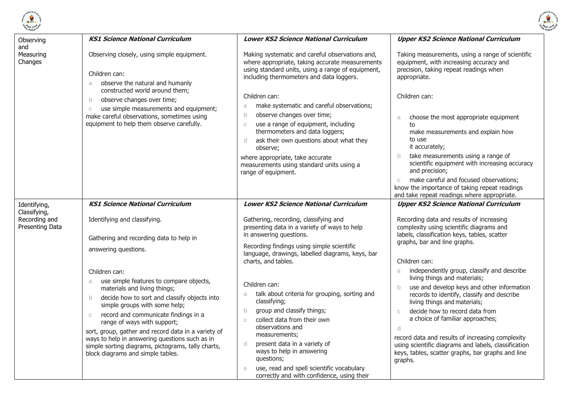



| Observing<br>and                                 | <b>KS1 Science National Curriculum</b>                                                                                                                                                                                                                                                                                                                                                                                                                                                     | <b>Lower KS2 Science National Curriculum</b>                                                                                                                                                                                                                                                                                                                                                           | <b>Upper KS2 Science National Curriculum</b>                                                                                                                                                                                                                                                                                                                                                                                                                                        |
|--------------------------------------------------|--------------------------------------------------------------------------------------------------------------------------------------------------------------------------------------------------------------------------------------------------------------------------------------------------------------------------------------------------------------------------------------------------------------------------------------------------------------------------------------------|--------------------------------------------------------------------------------------------------------------------------------------------------------------------------------------------------------------------------------------------------------------------------------------------------------------------------------------------------------------------------------------------------------|-------------------------------------------------------------------------------------------------------------------------------------------------------------------------------------------------------------------------------------------------------------------------------------------------------------------------------------------------------------------------------------------------------------------------------------------------------------------------------------|
| Measuring<br>Changes                             | Observing closely, using simple equipment.<br>Children can:<br>observe the natural and humanly<br>a.<br>constructed world around them;                                                                                                                                                                                                                                                                                                                                                     | Making systematic and careful observations and,<br>where appropriate, taking accurate measurements<br>using standard units, using a range of equipment,<br>including thermometers and data loggers.                                                                                                                                                                                                    | Taking measurements, using a range of scientific<br>equipment, with increasing accuracy and<br>precision, taking repeat readings when<br>appropriate.                                                                                                                                                                                                                                                                                                                               |
|                                                  | observe changes over time;<br>$\mathsf{b}$<br>use simple measurements and equipment;<br>$\mathbb{C}$<br>make careful observations, sometimes using<br>equipment to help them observe carefully.                                                                                                                                                                                                                                                                                            | Children can:<br>make systematic and careful observations;<br>a<br>observe changes over time;<br>b.<br>use a range of equipment, including<br>$\mathbb{C}$<br>thermometers and data loggers;<br>ask their own questions about what they<br>$\mathsf{d}$<br>observe:<br>where appropriate, take accurate<br>measurements using standard units using a<br>range of equipment.                            | Children can:<br>choose the most appropriate equipment<br>a<br>to<br>make measurements and explain how<br>to use<br>it accurately;<br>take measurements using a range of<br>$\mathsf{b}$<br>scientific equipment with increasing accuracy<br>and precision;<br>make careful and focused observations;<br>$\mathbb C$<br>know the importance of taking repeat readings<br>and take repeat readings where appropriate.                                                                |
| Identifying,                                     | <b>KS1 Science National Curriculum</b>                                                                                                                                                                                                                                                                                                                                                                                                                                                     | <b>Lower KS2 Science National Curriculum</b>                                                                                                                                                                                                                                                                                                                                                           | <b>Upper KS2 Science National Curriculum</b>                                                                                                                                                                                                                                                                                                                                                                                                                                        |
| Classifying,<br>Recording and<br>Presenting Data | Identifying and classifying.<br>Gathering and recording data to help in<br>answering questions.                                                                                                                                                                                                                                                                                                                                                                                            | Gathering, recording, classifying and<br>presenting data in a variety of ways to help<br>in answering questions.<br>Recording findings using simple scientific<br>language, drawings, labelled diagrams, keys, bar<br>charts, and tables.                                                                                                                                                              | Recording data and results of increasing<br>complexity using scientific diagrams and<br>labels, classification keys, tables, scatter<br>graphs, bar and line graphs.<br>Children can:                                                                                                                                                                                                                                                                                               |
|                                                  | Children can:<br>use simple features to compare objects,<br>a.<br>materials and living things;<br>decide how to sort and classify objects into<br>$\mathsf{b}$<br>simple groups with some help;<br>record and communicate findings in a<br>$\mathbb{C}$<br>range of ways with support;<br>sort, group, gather and record data in a variety of<br>ways to help in answering questions such as in<br>simple sorting diagrams, pictograms, tally charts,<br>block diagrams and simple tables. | Children can:<br>talk about criteria for grouping, sorting and<br>a<br>classifying;<br>group and classify things;<br>$\mathsf{b}$<br>collect data from their own<br>$\mathbb{C}$<br>observations and<br>measurements;<br>present data in a variety of<br>d.<br>ways to help in answering<br>questions;<br>use, read and spell scientific vocabulary<br>e<br>correctly and with confidence, using their | independently group, classify and describe<br>a<br>living things and materials;<br>use and develop keys and other information<br>records to identify, classify and describe<br>living things and materials;<br>decide how to record data from<br>$\mathbb{C}$<br>a choice of familiar approaches;<br>d.<br>record data and results of increasing complexity<br>using scientific diagrams and labels, classification<br>keys, tables, scatter graphs, bar graphs and line<br>graphs. |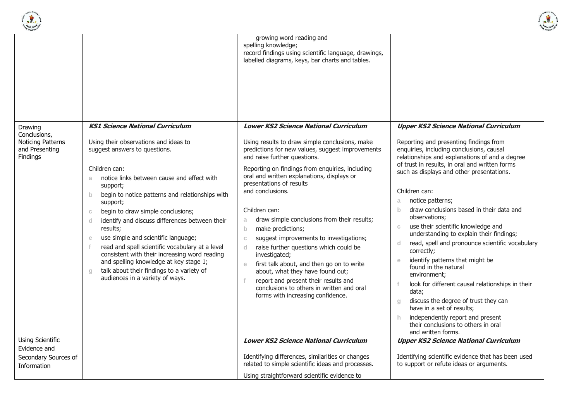



|                                                                                   |                                                                                                                                                                                                                                                                                                                                                                                                                                                                                                                                                                                                                                                                                         | growing word reading and<br>spelling knowledge;<br>record findings using scientific language, drawings,<br>labelled diagrams, keys, bar charts and tables.                                                                                                                                                                                                                                                                                                                                                                                                                                                                                                                                                                                                                                    |                                                                                                                                                                                                                                                                                                                                                                                                                                                                                                                                                                                                                                                                                                                                                                                                                                                                                                                        |
|-----------------------------------------------------------------------------------|-----------------------------------------------------------------------------------------------------------------------------------------------------------------------------------------------------------------------------------------------------------------------------------------------------------------------------------------------------------------------------------------------------------------------------------------------------------------------------------------------------------------------------------------------------------------------------------------------------------------------------------------------------------------------------------------|-----------------------------------------------------------------------------------------------------------------------------------------------------------------------------------------------------------------------------------------------------------------------------------------------------------------------------------------------------------------------------------------------------------------------------------------------------------------------------------------------------------------------------------------------------------------------------------------------------------------------------------------------------------------------------------------------------------------------------------------------------------------------------------------------|------------------------------------------------------------------------------------------------------------------------------------------------------------------------------------------------------------------------------------------------------------------------------------------------------------------------------------------------------------------------------------------------------------------------------------------------------------------------------------------------------------------------------------------------------------------------------------------------------------------------------------------------------------------------------------------------------------------------------------------------------------------------------------------------------------------------------------------------------------------------------------------------------------------------|
| Drawing<br>Conclusions,<br><b>Noticing Patterns</b><br>and Presenting<br>Findings | <b>KS1 Science National Curriculum</b><br>Using their observations and ideas to<br>suggest answers to questions.<br>Children can:<br>notice links between cause and effect with<br>a<br>support;<br>begin to notice patterns and relationships with<br>$\mathsf{b}$<br>support;<br>begin to draw simple conclusions;<br>$\mathbbm{C}$<br>identify and discuss differences between their<br>d<br>results;<br>use simple and scientific language;<br>e<br>read and spell scientific vocabulary at a level<br>consistent with their increasing word reading<br>and spelling knowledge at key stage 1;<br>talk about their findings to a variety of<br>Q<br>audiences in a variety of ways. | <b>Lower KS2 Science National Curriculum</b><br>Using results to draw simple conclusions, make<br>predictions for new values, suggest improvements<br>and raise further questions.<br>Reporting on findings from enquiries, including<br>oral and written explanations, displays or<br>presentations of results<br>and conclusions.<br>Children can:<br>draw simple conclusions from their results;<br>a<br>$\mathsf{b}$<br>make predictions;<br>suggest improvements to investigations;<br>$\mathbb C$<br>raise further questions which could be<br>d.<br>investigated;<br>first talk about, and then go on to write<br>e<br>about, what they have found out;<br>report and present their results and<br>f<br>conclusions to others in written and oral<br>forms with increasing confidence. | <b>Upper KS2 Science National Curriculum</b><br>Reporting and presenting findings from<br>enquiries, including conclusions, causal<br>relationships and explanations of and a degree<br>of trust in results, in oral and written forms<br>such as displays and other presentations.<br>Children can:<br>notice patterns;<br>a<br>draw conclusions based in their data and<br>$\mathbf{b}$<br>observations:<br>use their scientific knowledge and<br>$\mathbb{C}$<br>understanding to explain their findings;<br>read, spell and pronounce scientific vocabulary<br>d<br>correctly;<br>identify patterns that might be<br>$\epsilon$<br>found in the natural<br>environment;<br>look for different causal relationships in their<br>f<br>data;<br>discuss the degree of trust they can<br>$Q_{\parallel}$<br>have in a set of results;<br>independently report and present<br>h.<br>their conclusions to others in oral |
| <b>Using Scientific</b><br>Evidence and<br>Secondary Sources of<br>Information    |                                                                                                                                                                                                                                                                                                                                                                                                                                                                                                                                                                                                                                                                                         | <b>Lower KS2 Science National Curriculum</b><br>Identifying differences, similarities or changes<br>related to simple scientific ideas and processes.                                                                                                                                                                                                                                                                                                                                                                                                                                                                                                                                                                                                                                         | and written forms.<br><b>Upper KS2 Science National Curriculum</b><br>Identifying scientific evidence that has been used<br>to support or refute ideas or arguments.                                                                                                                                                                                                                                                                                                                                                                                                                                                                                                                                                                                                                                                                                                                                                   |
|                                                                                   |                                                                                                                                                                                                                                                                                                                                                                                                                                                                                                                                                                                                                                                                                         | Using straightforward scientific evidence to                                                                                                                                                                                                                                                                                                                                                                                                                                                                                                                                                                                                                                                                                                                                                  |                                                                                                                                                                                                                                                                                                                                                                                                                                                                                                                                                                                                                                                                                                                                                                                                                                                                                                                        |